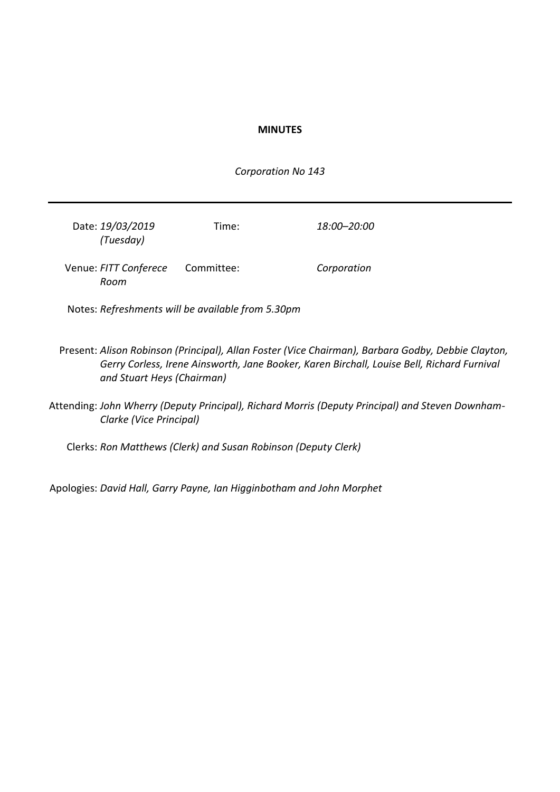# **MINUTES**

*Corporation No 143*

| Date: 19/03/2019<br>(Tuesday)                     | Time:      | 18:00–20:00                                                                                                                                                                                      |  |
|---------------------------------------------------|------------|--------------------------------------------------------------------------------------------------------------------------------------------------------------------------------------------------|--|
| Venue: FITT Conferece<br>Room                     | Committee: | Corporation                                                                                                                                                                                      |  |
| Notes: Refreshments will be available from 5.30pm |            |                                                                                                                                                                                                  |  |
| and Stuart Heys (Chairman)                        |            | Present: Alison Robinson (Principal), Allan Foster (Vice Chairman), Barbara Godby, Debbie Clayton,<br>Gerry Corless, Irene Ainsworth, Jane Booker, Karen Birchall, Louise Bell, Richard Furnival |  |

Attending: *John Wherry (Deputy Principal), Richard Morris (Deputy Principal) and Steven Downham-Clarke (Vice Principal)*

Clerks: *Ron Matthews (Clerk) and Susan Robinson (Deputy Clerk)*

Apologies: *David Hall, Garry Payne, Ian Higginbotham and John Morphet*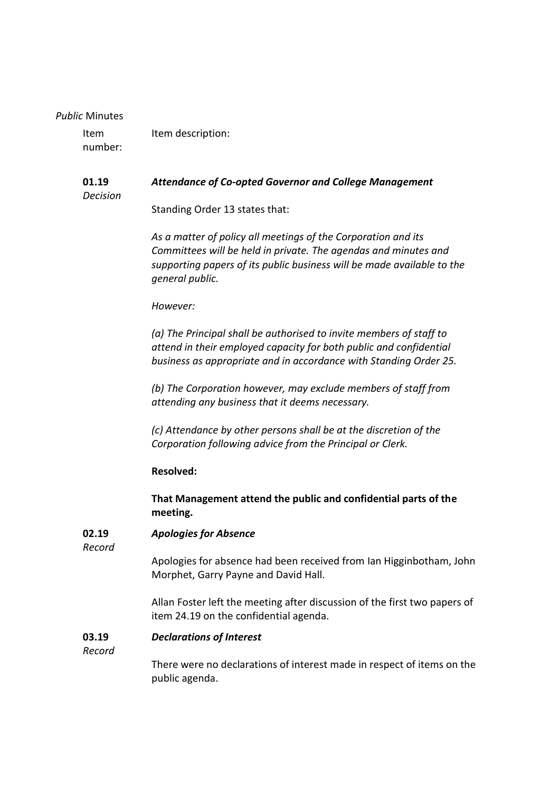### *Public* Minutes

Item number: Item description:

#### **01.19** *Attendance of Co-opted Governor and College Management*

*Decision*

Standing Order 13 states that:

*As a matter of policy all meetings of the Corporation and its Committees will be held in private. The agendas and minutes and supporting papers of its public business will be made available to the general public.*

# *However:*

*(a) The Principal shall be authorised to invite members of staff to attend in their employed capacity for both public and confidential business as appropriate and in accordance with Standing Order 25.*

*(b) The Corporation however, may exclude members of staff from attending any business that it deems necessary.*

*(c) Attendance by other persons shall be at the discretion of the Corporation following advice from the Principal or Clerk.*

# **Resolved:**

**That Management attend the public and confidential parts of the meeting.**

#### **02.19** *Apologies for Absence*

*Record*

Apologies for absence had been received from Ian Higginbotham, John Morphet, Garry Payne and David Hall.

Allan Foster left the meeting after discussion of the first two papers of item 24.19 on the confidential agenda.

#### **03.19** *Declarations of Interest*

*Record*

There were no declarations of interest made in respect of items on the public agenda.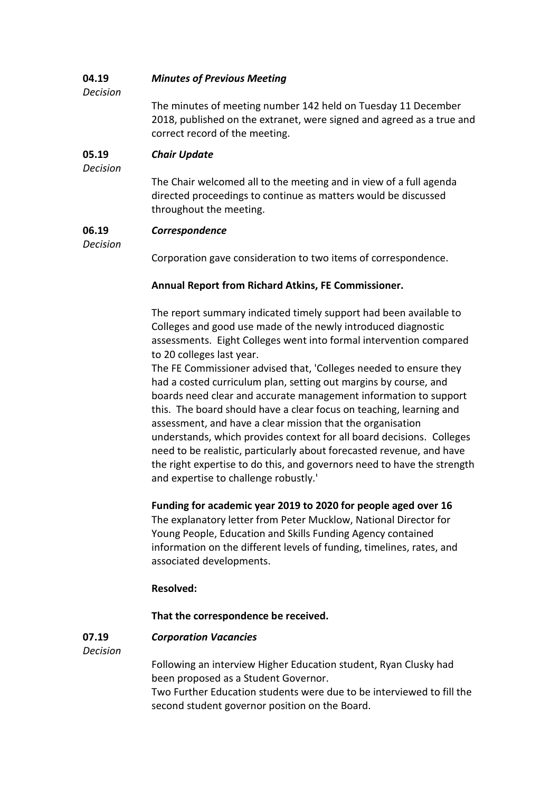#### **04.19** *Minutes of Previous Meeting*

*Decision*

The minutes of meeting number 142 held on Tuesday 11 December 2018, published on the extranet, were signed and agreed as a true and correct record of the meeting.

#### **05.19** *Chair Update*

*Decision*

The Chair welcomed all to the meeting and in view of a full agenda directed proceedings to continue as matters would be discussed throughout the meeting.

#### **06.19** *Correspondence*

*Decision*

Corporation gave consideration to two items of correspondence.

# **Annual Report from Richard Atkins, FE Commissioner.**

The report summary indicated timely support had been available to Colleges and good use made of the newly introduced diagnostic assessments. Eight Colleges went into formal intervention compared to 20 colleges last year.

The FE Commissioner advised that, 'Colleges needed to ensure they had a costed curriculum plan, setting out margins by course, and boards need clear and accurate management information to support this. The board should have a clear focus on teaching, learning and assessment, and have a clear mission that the organisation understands, which provides context for all board decisions. Colleges need to be realistic, particularly about forecasted revenue, and have the right expertise to do this, and governors need to have the strength and expertise to challenge robustly.'

# **Funding for academic year 2019 to 2020 for people aged over 16**

The explanatory letter from Peter Mucklow, National Director for Young People, Education and Skills Funding Agency contained information on the different levels of funding, timelines, rates, and associated developments.

# **Resolved:**

# **That the correspondence be received.**

#### **07.19** *Corporation Vacancies*

*Decision*

Following an interview Higher Education student, Ryan Clusky had been proposed as a Student Governor.

Two Further Education students were due to be interviewed to fill the second student governor position on the Board.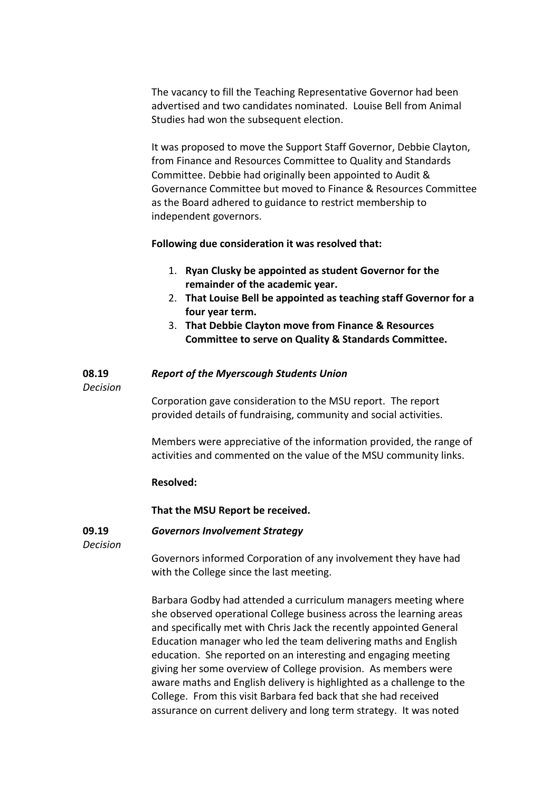The vacancy to fill the Teaching Representative Governor had been advertised and two candidates nominated. Louise Bell from Animal Studies had won the subsequent election.

It was proposed to move the Support Staff Governor, Debbie Clayton, from Finance and Resources Committee to Quality and Standards Committee. Debbie had originally been appointed to Audit & Governance Committee but moved to Finance & Resources Committee as the Board adhered to guidance to restrict membership to independent governors.

**Following due consideration it was resolved that:**

- 1. **Ryan Clusky be appointed as student Governor for the remainder of the academic year.**
- 2. **That Louise Bell be appointed as teaching staff Governor for a four year term.**
- 3. **That Debbie Clayton move from Finance & Resources Committee to serve on Quality & Standards Committee.**

#### **08.19** *Report of the Myerscough Students Union*

*Decision*

Corporation gave consideration to the MSU report. The report provided details of fundraising, community and social activities.

Members were appreciative of the information provided, the range of activities and commented on the value of the MSU community links.

# **Resolved:**

**That the MSU Report be received.**

#### **09.19** *Governors Involvement Strategy*

*Decision*

Governors informed Corporation of any involvement they have had with the College since the last meeting.

Barbara Godby had attended a curriculum managers meeting where she observed operational College business across the learning areas and specifically met with Chris Jack the recently appointed General Education manager who led the team delivering maths and English education. She reported on an interesting and engaging meeting giving her some overview of College provision. As members were aware maths and English delivery is highlighted as a challenge to the College. From this visit Barbara fed back that she had received assurance on current delivery and long term strategy. It was noted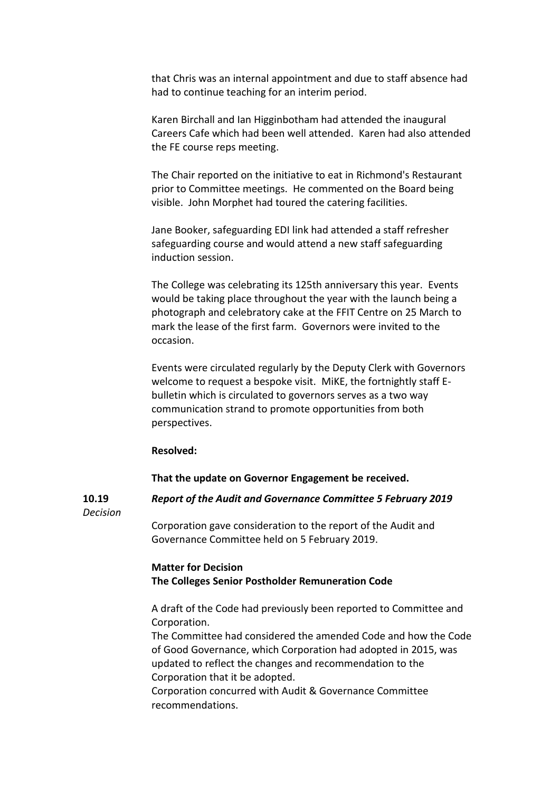that Chris was an internal appointment and due to staff absence had had to continue teaching for an interim period.

Karen Birchall and Ian Higginbotham had attended the inaugural Careers Cafe which had been well attended. Karen had also attended the FE course reps meeting.

The Chair reported on the initiative to eat in Richmond's Restaurant prior to Committee meetings. He commented on the Board being visible. John Morphet had toured the catering facilities.

Jane Booker, safeguarding EDI link had attended a staff refresher safeguarding course and would attend a new staff safeguarding induction session.

The College was celebrating its 125th anniversary this year. Events would be taking place throughout the year with the launch being a photograph and celebratory cake at the FFIT Centre on 25 March to mark the lease of the first farm. Governors were invited to the occasion.

Events were circulated regularly by the Deputy Clerk with Governors welcome to request a bespoke visit. MiKE, the fortnightly staff Ebulletin which is circulated to governors serves as a two way communication strand to promote opportunities from both perspectives.

### **Resolved:**

**That the update on Governor Engagement be received.**

**10.19** *Decision* *Report of the Audit and Governance Committee 5 February 2019*

Corporation gave consideration to the report of the Audit and Governance Committee held on 5 February 2019.

# **Matter for Decision The Colleges Senior Postholder Remuneration Code**

A draft of the Code had previously been reported to Committee and Corporation.

The Committee had considered the amended Code and how the Code of Good Governance, which Corporation had adopted in 2015, was updated to reflect the changes and recommendation to the Corporation that it be adopted.

Corporation concurred with Audit & Governance Committee recommendations.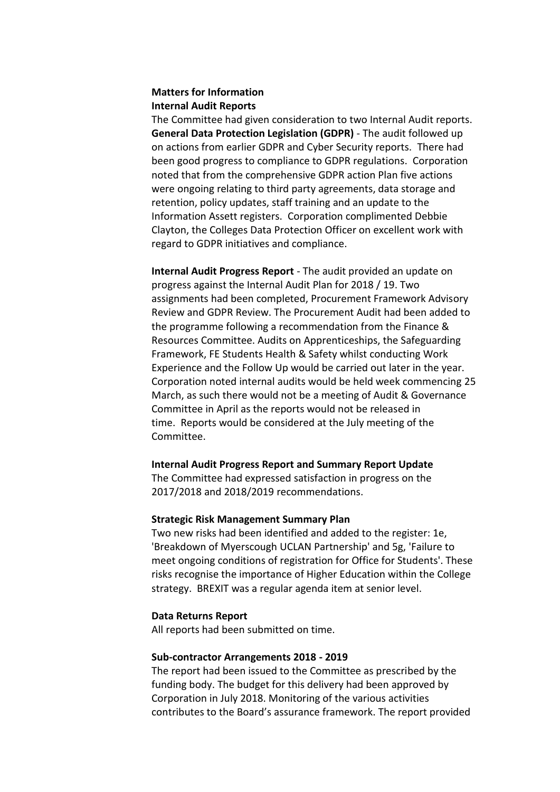# **Matters for Information Internal Audit Reports**

The Committee had given consideration to two Internal Audit reports. **General Data Protection Legislation (GDPR)** - The audit followed up on actions from earlier GDPR and Cyber Security reports. There had been good progress to compliance to GDPR regulations. Corporation noted that from the comprehensive GDPR action Plan five actions were ongoing relating to third party agreements, data storage and retention, policy updates, staff training and an update to the Information Assett registers. Corporation complimented Debbie Clayton, the Colleges Data Protection Officer on excellent work with regard to GDPR initiatives and compliance.

**Internal Audit Progress Report** - The audit provided an update on progress against the Internal Audit Plan for 2018 / 19. Two assignments had been completed, Procurement Framework Advisory Review and GDPR Review. The Procurement Audit had been added to the programme following a recommendation from the Finance & Resources Committee. Audits on Apprenticeships, the Safeguarding Framework, FE Students Health & Safety whilst conducting Work Experience and the Follow Up would be carried out later in the year. Corporation noted internal audits would be held week commencing 25 March, as such there would not be a meeting of Audit & Governance Committee in April as the reports would not be released in time. Reports would be considered at the July meeting of the Committee.

# **Internal Audit Progress Report and Summary Report Update**

The Committee had expressed satisfaction in progress on the 2017/2018 and 2018/2019 recommendations.

### **Strategic Risk Management Summary Plan**

Two new risks had been identified and added to the register: 1e, 'Breakdown of Myerscough UCLAN Partnership' and 5g, 'Failure to meet ongoing conditions of registration for Office for Students'. These risks recognise the importance of Higher Education within the College strategy. BREXIT was a regular agenda item at senior level.

#### **Data Returns Report**

All reports had been submitted on time.

### **Sub-contractor Arrangements 2018 - 2019**

The report had been issued to the Committee as prescribed by the funding body. The budget for this delivery had been approved by Corporation in July 2018. Monitoring of the various activities contributes to the Board's assurance framework. The report provided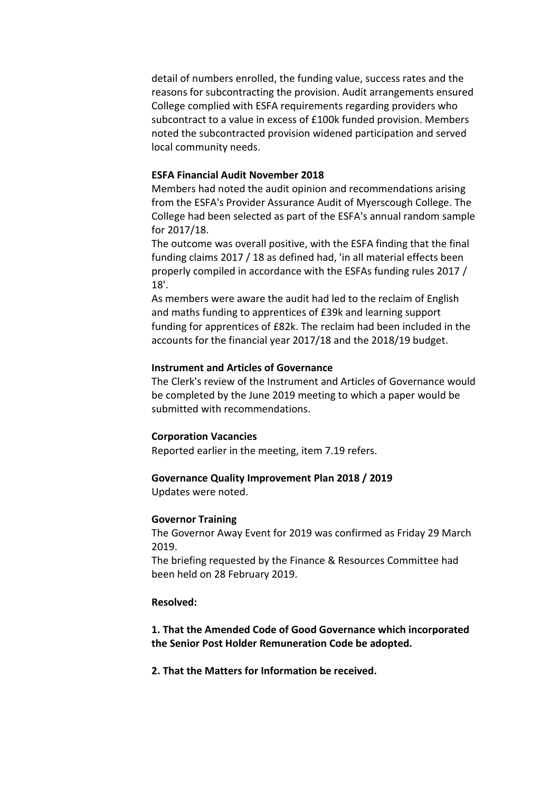detail of numbers enrolled, the funding value, success rates and the reasons for subcontracting the provision. Audit arrangements ensured College complied with ESFA requirements regarding providers who subcontract to a value in excess of £100k funded provision. Members noted the subcontracted provision widened participation and served local community needs.

# **ESFA Financial Audit November 2018**

Members had noted the audit opinion and recommendations arising from the ESFA's Provider Assurance Audit of Myerscough College. The College had been selected as part of the ESFA's annual random sample for 2017/18.

The outcome was overall positive, with the ESFA finding that the final funding claims 2017 / 18 as defined had, 'in all material effects been properly compiled in accordance with the ESFAs funding rules 2017 / 18'.

As members were aware the audit had led to the reclaim of English and maths funding to apprentices of £39k and learning support funding for apprentices of £82k. The reclaim had been included in the accounts for the financial year 2017/18 and the 2018/19 budget.

# **Instrument and Articles of Governance**

The Clerk's review of the Instrument and Articles of Governance would be completed by the June 2019 meeting to which a paper would be submitted with recommendations.

## **Corporation Vacancies**

Reported earlier in the meeting, item 7.19 refers.

# **Governance Quality Improvement Plan 2018 / 2019**

Updates were noted.

#### **Governor Training**

The Governor Away Event for 2019 was confirmed as Friday 29 March 2019.

The briefing requested by the Finance & Resources Committee had been held on 28 February 2019.

### **Resolved:**

**1. That the Amended Code of Good Governance which incorporated the Senior Post Holder Remuneration Code be adopted.**

# **2. That the Matters for Information be received.**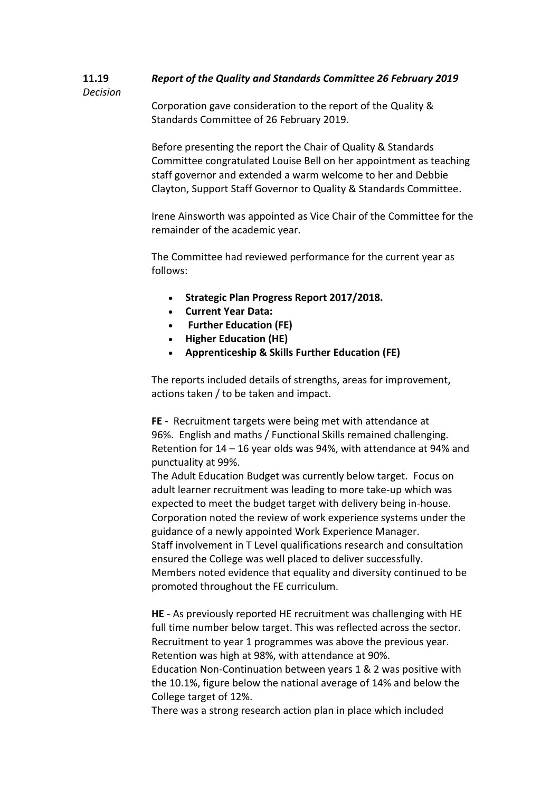#### **11.19** *Report of the Quality and Standards Committee 26 February 2019*

*Decision*

Corporation gave consideration to the report of the Quality & Standards Committee of 26 February 2019.

Before presenting the report the Chair of Quality & Standards Committee congratulated Louise Bell on her appointment as teaching staff governor and extended a warm welcome to her and Debbie Clayton, Support Staff Governor to Quality & Standards Committee.

Irene Ainsworth was appointed as Vice Chair of the Committee for the remainder of the academic year.

The Committee had reviewed performance for the current year as follows:

- **Strategic Plan Progress Report 2017/2018.**
- **Current Year Data:**
- **Further Education (FE)**
- **Higher Education (HE)**
- **Apprenticeship & Skills Further Education (FE)**

The reports included details of strengths, areas for improvement, actions taken / to be taken and impact.

**FE** - Recruitment targets were being met with attendance at 96%. English and maths / Functional Skills remained challenging. Retention for 14 – 16 year olds was 94%, with attendance at 94% and punctuality at 99%.

The Adult Education Budget was currently below target. Focus on adult learner recruitment was leading to more take-up which was expected to meet the budget target with delivery being in-house. Corporation noted the review of work experience systems under the guidance of a newly appointed Work Experience Manager. Staff involvement in T Level qualifications research and consultation ensured the College was well placed to deliver successfully. Members noted evidence that equality and diversity continued to be promoted throughout the FE curriculum.

**HE** - As previously reported HE recruitment was challenging with HE full time number below target. This was reflected across the sector. Recruitment to year 1 programmes was above the previous year. Retention was high at 98%, with attendance at 90%.

Education Non-Continuation between years 1 & 2 was positive with the 10.1%, figure below the national average of 14% and below the College target of 12%.

There was a strong research action plan in place which included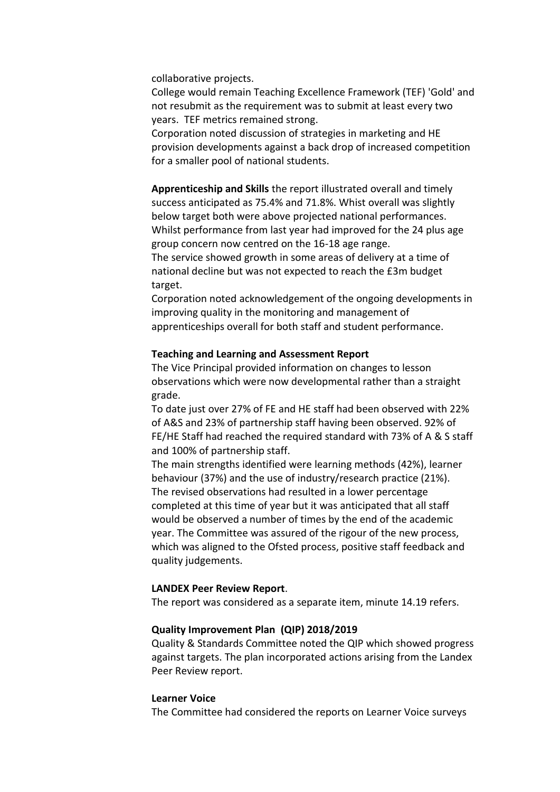collaborative projects.

College would remain Teaching Excellence Framework (TEF) 'Gold' and not resubmit as the requirement was to submit at least every two years. TEF metrics remained strong.

Corporation noted discussion of strategies in marketing and HE provision developments against a back drop of increased competition for a smaller pool of national students.

**Apprenticeship and Skills** the report illustrated overall and timely success anticipated as 75.4% and 71.8%. Whist overall was slightly below target both were above projected national performances. Whilst performance from last year had improved for the 24 plus age group concern now centred on the 16-18 age range. The service showed growth in some areas of delivery at a time of national decline but was not expected to reach the £3m budget target.

Corporation noted acknowledgement of the ongoing developments in improving quality in the monitoring and management of apprenticeships overall for both staff and student performance.

# **Teaching and Learning and Assessment Report**

The Vice Principal provided information on changes to lesson observations which were now developmental rather than a straight grade.

To date just over 27% of FE and HE staff had been observed with 22% of A&S and 23% of partnership staff having been observed. 92% of FE/HE Staff had reached the required standard with 73% of A & S staff and 100% of partnership staff.

The main strengths identified were learning methods (42%), learner behaviour (37%) and the use of industry/research practice (21%). The revised observations had resulted in a lower percentage completed at this time of year but it was anticipated that all staff would be observed a number of times by the end of the academic year. The Committee was assured of the rigour of the new process, which was aligned to the Ofsted process, positive staff feedback and quality judgements.

#### **LANDEX Peer Review Report**.

The report was considered as a separate item, minute 14.19 refers.

#### **Quality Improvement Plan (QIP) 2018/2019**

Quality & Standards Committee noted the QIP which showed progress against targets. The plan incorporated actions arising from the Landex Peer Review report.

### **Learner Voice**

The Committee had considered the reports on Learner Voice surveys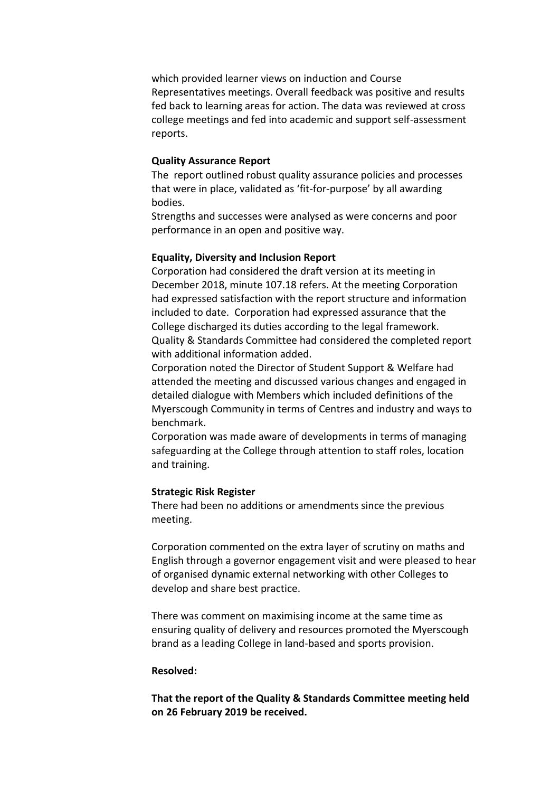which provided learner views on induction and Course Representatives meetings. Overall feedback was positive and results fed back to learning areas for action. The data was reviewed at cross college meetings and fed into academic and support self-assessment reports.

# **Quality Assurance Report**

The report outlined robust quality assurance policies and processes that were in place, validated as 'fit-for-purpose' by all awarding bodies.

Strengths and successes were analysed as were concerns and poor performance in an open and positive way.

# **Equality, Diversity and Inclusion Report**

Corporation had considered the draft version at its meeting in December 2018, minute 107.18 refers. At the meeting Corporation had expressed satisfaction with the report structure and information included to date. Corporation had expressed assurance that the College discharged its duties according to the legal framework. Quality & Standards Committee had considered the completed report with additional information added.

Corporation noted the Director of Student Support & Welfare had attended the meeting and discussed various changes and engaged in detailed dialogue with Members which included definitions of the Myerscough Community in terms of Centres and industry and ways to benchmark.

Corporation was made aware of developments in terms of managing safeguarding at the College through attention to staff roles, location and training.

# **Strategic Risk Register**

There had been no additions or amendments since the previous meeting.

Corporation commented on the extra layer of scrutiny on maths and English through a governor engagement visit and were pleased to hear of organised dynamic external networking with other Colleges to develop and share best practice.

There was comment on maximising income at the same time as ensuring quality of delivery and resources promoted the Myerscough brand as a leading College in land-based and sports provision.

# **Resolved:**

**That the report of the Quality & Standards Committee meeting held on 26 February 2019 be received.**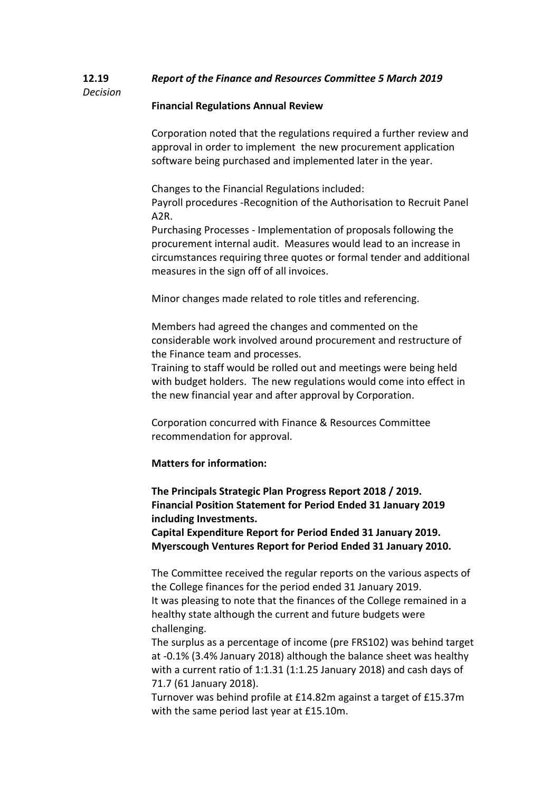#### **12.19** *Decision Report of the Finance and Resources Committee 5 March 2019*

# **Financial Regulations Annual Review**

Corporation noted that the regulations required a further review and approval in order to implement the new procurement application software being purchased and implemented later in the year.

Changes to the Financial Regulations included: Payroll procedures -Recognition of the Authorisation to Recruit Panel A2R.

Purchasing Processes - Implementation of proposals following the procurement internal audit. Measures would lead to an increase in circumstances requiring three quotes or formal tender and additional measures in the sign off of all invoices.

Minor changes made related to role titles and referencing.

Members had agreed the changes and commented on the considerable work involved around procurement and restructure of the Finance team and processes.

Training to staff would be rolled out and meetings were being held with budget holders. The new regulations would come into effect in the new financial year and after approval by Corporation.

Corporation concurred with Finance & Resources Committee recommendation for approval.

# **Matters for information:**

**The Principals Strategic Plan Progress Report 2018 / 2019. Financial Position Statement for Period Ended 31 January 2019 including Investments.**

**Capital Expenditure Report for Period Ended 31 January 2019. Myerscough Ventures Report for Period Ended 31 January 2010.**

The Committee received the regular reports on the various aspects of the College finances for the period ended 31 January 2019. It was pleasing to note that the finances of the College remained in a healthy state although the current and future budgets were challenging.

The surplus as a percentage of income (pre FRS102) was behind target at -0.1% (3.4% January 2018) although the balance sheet was healthy with a current ratio of 1:1.31 (1:1.25 January 2018) and cash days of 71.7 (61 January 2018).

Turnover was behind profile at £14.82m against a target of £15.37m with the same period last year at £15.10m.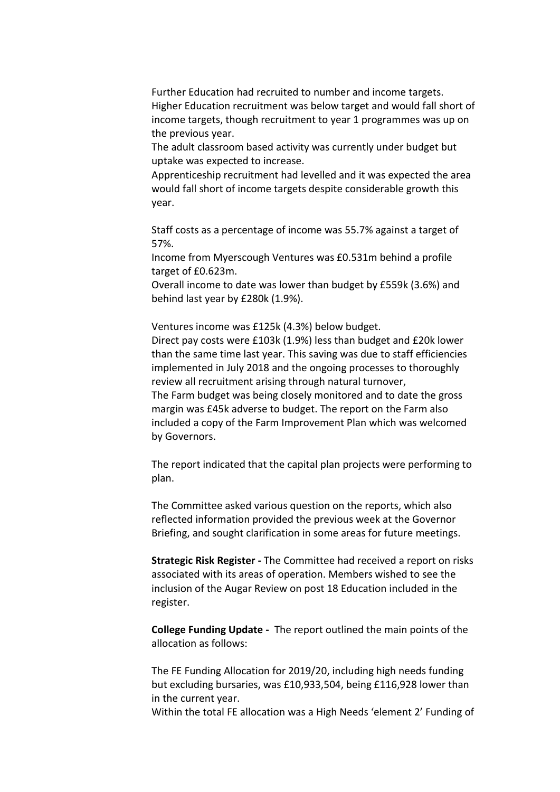Further Education had recruited to number and income targets. Higher Education recruitment was below target and would fall short of income targets, though recruitment to year 1 programmes was up on the previous year.

The adult classroom based activity was currently under budget but uptake was expected to increase.

Apprenticeship recruitment had levelled and it was expected the area would fall short of income targets despite considerable growth this year.

Staff costs as a percentage of income was 55.7% against a target of 57%.

Income from Myerscough Ventures was £0.531m behind a profile target of £0.623m.

Overall income to date was lower than budget by £559k (3.6%) and behind last year by £280k (1.9%).

Ventures income was £125k (4.3%) below budget.

Direct pay costs were £103k (1.9%) less than budget and £20k lower than the same time last year. This saving was due to staff efficiencies implemented in July 2018 and the ongoing processes to thoroughly review all recruitment arising through natural turnover,

The Farm budget was being closely monitored and to date the gross margin was £45k adverse to budget. The report on the Farm also included a copy of the Farm Improvement Plan which was welcomed by Governors.

The report indicated that the capital plan projects were performing to plan.

The Committee asked various question on the reports, which also reflected information provided the previous week at the Governor Briefing, and sought clarification in some areas for future meetings.

**Strategic Risk Register -** The Committee had received a report on risks associated with its areas of operation. Members wished to see the inclusion of the Augar Review on post 18 Education included in the register.

**College Funding Update -** The report outlined the main points of the allocation as follows:

The FE Funding Allocation for 2019/20, including high needs funding but excluding bursaries, was £10,933,504, being £116,928 lower than in the current year.

Within the total FE allocation was a High Needs 'element 2' Funding of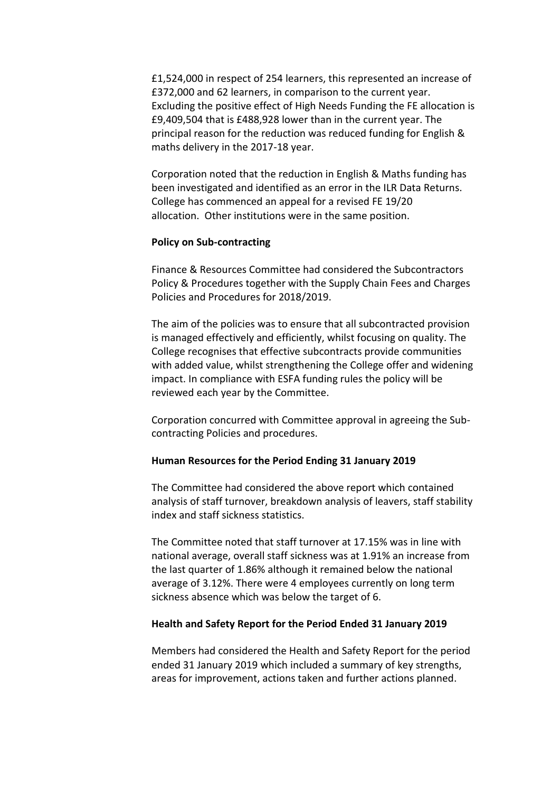£1,524,000 in respect of 254 learners, this represented an increase of £372,000 and 62 learners, in comparison to the current year. Excluding the positive effect of High Needs Funding the FE allocation is £9,409,504 that is £488,928 lower than in the current year. The principal reason for the reduction was reduced funding for English & maths delivery in the 2017-18 year.

Corporation noted that the reduction in English & Maths funding has been investigated and identified as an error in the ILR Data Returns. College has commenced an appeal for a revised FE 19/20 allocation. Other institutions were in the same position.

### **Policy on Sub-contracting**

Finance & Resources Committee had considered the Subcontractors Policy & Procedures together with the Supply Chain Fees and Charges Policies and Procedures for 2018/2019.

The aim of the policies was to ensure that all subcontracted provision is managed effectively and efficiently, whilst focusing on quality. The College recognises that effective subcontracts provide communities with added value, whilst strengthening the College offer and widening impact. In compliance with ESFA funding rules the policy will be reviewed each year by the Committee.

Corporation concurred with Committee approval in agreeing the Subcontracting Policies and procedures.

# **Human Resources for the Period Ending 31 January 2019**

The Committee had considered the above report which contained analysis of staff turnover, breakdown analysis of leavers, staff stability index and staff sickness statistics.

The Committee noted that staff turnover at 17.15% was in line with national average, overall staff sickness was at 1.91% an increase from the last quarter of 1.86% although it remained below the national average of 3.12%. There were 4 employees currently on long term sickness absence which was below the target of 6.

# **Health and Safety Report for the Period Ended 31 January 2019**

Members had considered the Health and Safety Report for the period ended 31 January 2019 which included a summary of key strengths, areas for improvement, actions taken and further actions planned.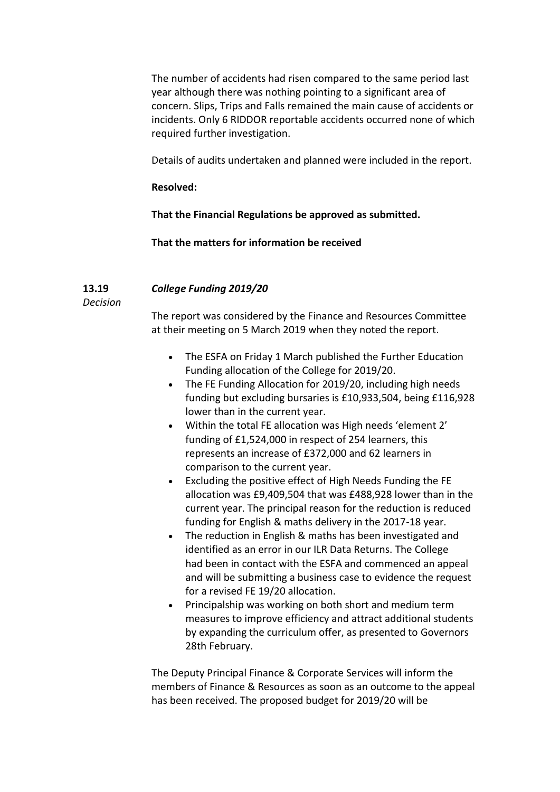The number of accidents had risen compared to the same period last year although there was nothing pointing to a significant area of concern. Slips, Trips and Falls remained the main cause of accidents or incidents. Only 6 RIDDOR reportable accidents occurred none of which required further investigation.

Details of audits undertaken and planned were included in the report.

# **Resolved:**

**That the Financial Regulations be approved as submitted.**

**That the matters for information be received**

#### **13.19** *College Funding 2019/20*

*Decision*

The report was considered by the Finance and Resources Committee at their meeting on 5 March 2019 when they noted the report.

- The ESFA on Friday 1 March published the Further Education Funding allocation of the College for 2019/20.
- The FE Funding Allocation for 2019/20, including high needs funding but excluding bursaries is £10,933,504, being £116,928 lower than in the current year.
- Within the total FE allocation was High needs 'element 2' funding of £1,524,000 in respect of 254 learners, this represents an increase of £372,000 and 62 learners in comparison to the current year.
- Excluding the positive effect of High Needs Funding the FE allocation was £9,409,504 that was £488,928 lower than in the current year. The principal reason for the reduction is reduced funding for English & maths delivery in the 2017-18 year.
- The reduction in English & maths has been investigated and identified as an error in our ILR Data Returns. The College had been in contact with the ESFA and commenced an appeal and will be submitting a business case to evidence the request for a revised FE 19/20 allocation.
- Principalship was working on both short and medium term measures to improve efficiency and attract additional students by expanding the curriculum offer, as presented to Governors 28th February.

The Deputy Principal Finance & Corporate Services will inform the members of Finance & Resources as soon as an outcome to the appeal has been received. The proposed budget for 2019/20 will be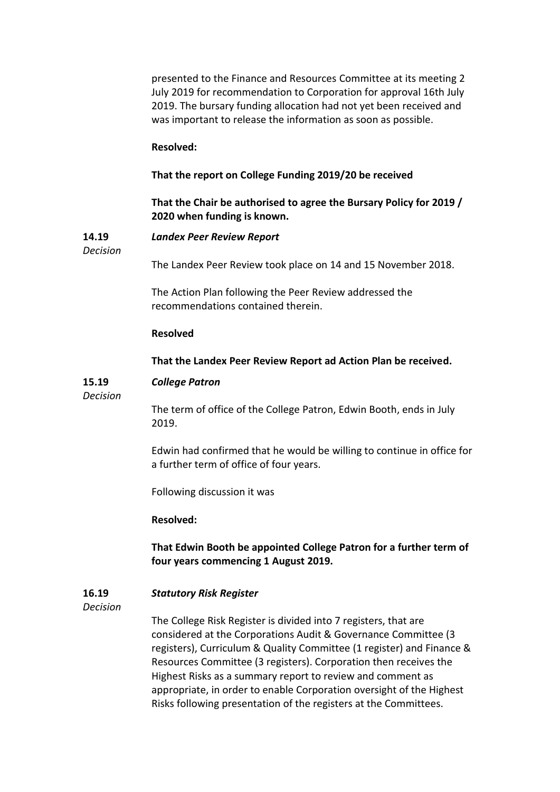presented to the Finance and Resources Committee at its meeting 2 July 2019 for recommendation to Corporation for approval 16th July 2019. The bursary funding allocation had not yet been received and was important to release the information as soon as possible. **Resolved: That the report on College Funding 2019/20 be received That the Chair be authorised to agree the Bursary Policy for 2019 / 2020 when funding is known. 14.19** *Decision Landex Peer Review Report* The Landex Peer Review took place on 14 and 15 November 2018. The Action Plan following the Peer Review addressed the recommendations contained therein. **Resolved That the Landex Peer Review Report ad Action Plan be received. 15.19** *Decision College Patron* The term of office of the College Patron, Edwin Booth, ends in July 2019. Edwin had confirmed that he would be willing to continue in office for a further term of office of four years. Following discussion it was **Resolved: That Edwin Booth be appointed College Patron for a further term of four years commencing 1 August 2019. 16.19** *Decision Statutory Risk Register* The College Risk Register is divided into 7 registers, that are considered at the Corporations Audit & Governance Committee (3 registers), Curriculum & Quality Committee (1 register) and Finance & Resources Committee (3 registers). Corporation then receives the Highest Risks as a summary report to review and comment as

> appropriate, in order to enable Corporation oversight of the Highest Risks following presentation of the registers at the Committees.